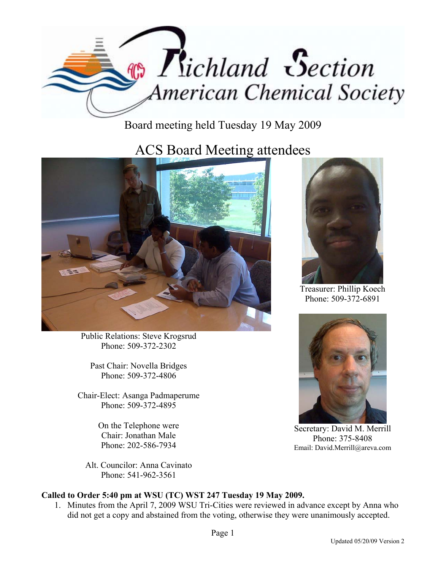

Board meeting held Tuesday 19 May 2009

## ACS Board Meeting attendees



Public Relations: Steve Krogsrud Phone: 509-372-2302

Past Chair: Novella Bridges Phone: 509-372-4806

Chair-Elect: Asanga Padmaperume Phone: 509-372-4895

> On the Telephone were Chair: Jonathan Male Phone: 202-586-7934

Alt. Councilor: Anna Cavinato Phone: 541-962-3561



Treasurer: Phillip Koech Phone: 509-372-6891



Secretary: David M. Merrill Phone: 375-8408 Email: David.Merrill@areva.com

## **Called to Order 5:40 pm at WSU (TC) WST 247 Tuesday 19 May 2009.**

1. Minutes from the April 7, 2009 WSU Tri-Cities were reviewed in advance except by Anna who did not get a copy and abstained from the voting, otherwise they were unanimously accepted.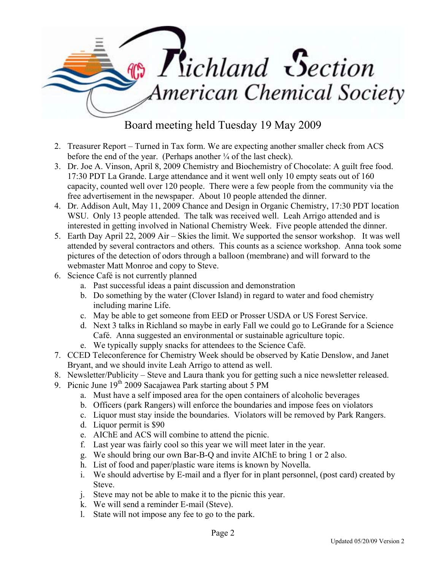

## Board meeting held Tuesday 19 May 2009

- 2. Treasurer Report Turned in Tax form. We are expecting another smaller check from ACS before the end of the year. (Perhaps another  $\frac{1}{4}$  of the last check).
- 3. Dr. Joe A. Vinson, April 8, 2009 Chemistry and Biochemistry of Chocolate: A guilt free food. 17:30 PDT La Grande. Large attendance and it went well only 10 empty seats out of 160 capacity, counted well over 120 people. There were a few people from the community via the free advertisement in the newspaper. About 10 people attended the dinner.
- 4. Dr. Addison Ault, May 11, 2009 Chance and Design in Organic Chemistry, 17:30 PDT location WSU. Only 13 people attended. The talk was received well. Leah Arrigo attended and is interested in getting involved in National Chemistry Week. Five people attended the dinner.
- 5. Earth Day April 22, 2009 Air Skies the limit. We supported the sensor workshop. It was well attended by several contractors and others. This counts as a science workshop. Anna took some pictures of the detection of odors through a balloon (membrane) and will forward to the webmaster Matt Monroe and copy to Steve.
- 6. Science Café is not currently planned
	- a. Past successful ideas a paint discussion and demonstration
	- b. Do something by the water (Clover Island) in regard to water and food chemistry including marine Life.
	- c. May be able to get someone from EED or Prosser USDA or US Forest Service.
	- d. Next 3 talks in Richland so maybe in early Fall we could go to LeGrande for a Science Café. Anna suggested an environmental or sustainable agriculture topic.
	- e. We typically supply snacks for attendees to the Science Café.
- 7. CCED Teleconference for Chemistry Week should be observed by Katie Denslow, and Janet Bryant, and we should invite Leah Arrigo to attend as well.
- 8. Newsletter/Publicity Steve and Laura thank you for getting such a nice newsletter released.
- 9. Picnic June  $19<sup>th</sup> 2009$  Sacajawea Park starting about 5 PM
	- a. Must have a self imposed area for the open containers of alcoholic beverages
	- b. Officers (park Rangers) will enforce the boundaries and impose fees on violators
	- c. Liquor must stay inside the boundaries. Violators will be removed by Park Rangers.
	- d. Liquor permit is \$90
	- e. AIChE and ACS will combine to attend the picnic.
	- f. Last year was fairly cool so this year we will meet later in the year.
	- g. We should bring our own Bar-B-Q and invite AIChE to bring 1 or 2 also.
	- h. List of food and paper/plastic ware items is known by Novella.
	- i. We should advertise by E-mail and a flyer for in plant personnel, (post card) created by Steve.
	- j. Steve may not be able to make it to the picnic this year.
	- k. We will send a reminder E-mail (Steve).
	- l. State will not impose any fee to go to the park.